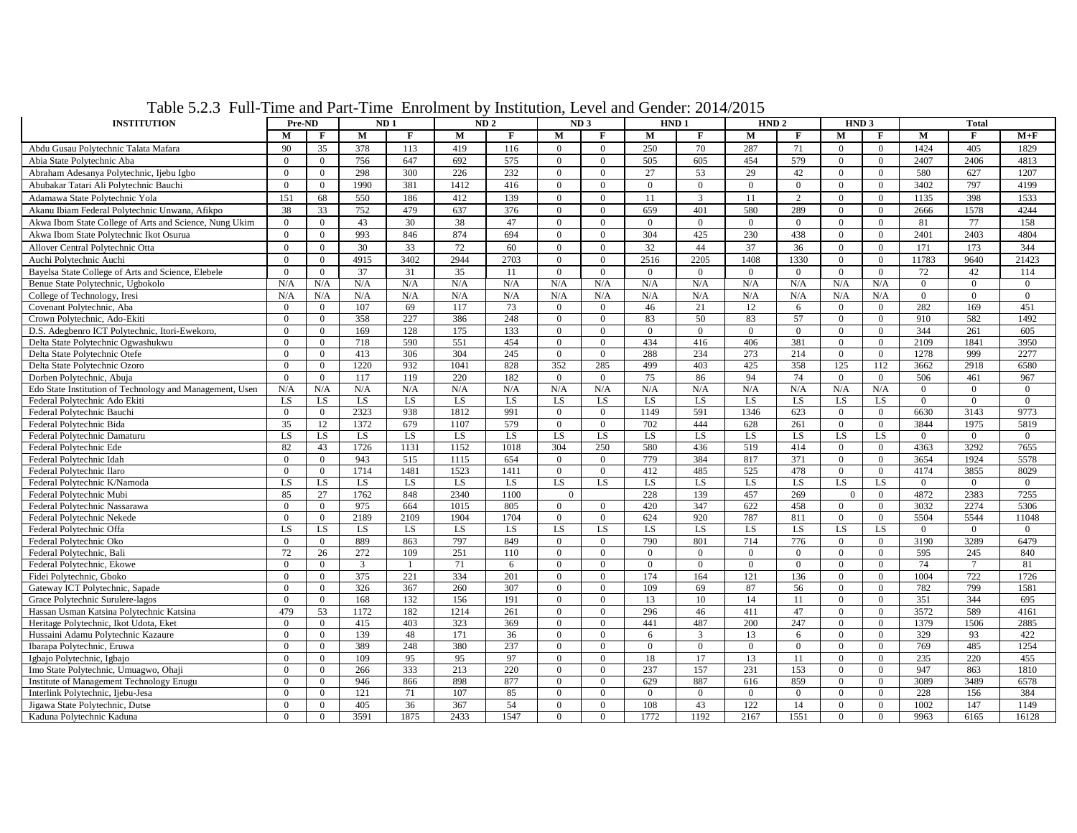| <b>INSTITUTION</b>                                          |                | Pre-ND<br>ND <sub>1</sub> |            |              | ND <sub>2</sub> |              | ND <sub>3</sub>      |                      | HND <sub>1</sub>     |                 | HND <sub>2</sub>                 |                                  | HND <sub>3</sub>           |                            |                |                |                |
|-------------------------------------------------------------|----------------|---------------------------|------------|--------------|-----------------|--------------|----------------------|----------------------|----------------------|-----------------|----------------------------------|----------------------------------|----------------------------|----------------------------|----------------|----------------|----------------|
|                                                             | М              | $\mathbf{F}$              | M          | $\mathbf{F}$ | M               | $\mathbf{F}$ | M                    | $\mathbf{F}$         | M                    | F               | M                                | $\mathbf{F}$                     | M                          | $\mathbf{F}$               | M              | F              | $M+F$          |
| Abdu Gusau Polytechnic Talata Mafara                        | 90             | 35                        | 378        | 113          | 419             | 116          | $\Omega$             | $\Omega$             | 250                  | 70              | 287                              | 71                               | $\Omega$                   | $\overline{0}$             | 1424           | 405            | 1829           |
| Abia State Polytechnic Aba                                  | $\overline{0}$ | $\Omega$                  | 756        | 647          | 692             | 575          | $\Omega$             | $\overline{0}$       | 505                  | 605             | 454                              | 579                              | $\overline{0}$             | $\overline{0}$             | 2407           | 2406           | 4813           |
| Abraham Adesanya Polytechnic, Ijebu Igbo                    | $\overline{0}$ | $\overline{0}$            | 298        | 300          | 226             | 232          | $\overline{0}$       | $\overline{0}$       | 27                   | 53              | 29                               | 42                               | $\overline{0}$             | $\overline{0}$             | 580            | 627            | 1207           |
| Abubakar Tatari Ali Polytechnic Bauchi                      | $\overline{0}$ | $\overline{0}$            | 1990       | 381          | 1412            | 416          | $\Omega$             | $\overline{0}$       | $\mathbf{0}$         | $\overline{0}$  | $\overline{0}$                   | $\overline{0}$                   | $\overline{0}$             | $\overline{0}$             | 3402           | 797            | 4199           |
| Adamawa State Polytechnic Yola                              | 151            | 68                        | 550        | 186          | 412             | 139          | $\overline{0}$       | $\overline{0}$       | 11                   | 3               | 11                               | 2                                | $\overline{0}$             | $\overline{0}$             | 1135           | 398            | 1533           |
| Akanu Ibiam Federal Polytechnic Unwana, Afikpo              | 38             | 33                        | 752        | 479          | 637             | 376          | $\overline{0}$       | $\overline{0}$       | 659                  | 401             | 580                              | 289                              | $\overline{0}$             | $\overline{0}$             | 2666           | 1578           | 4244           |
| Akwa Ibom State College of Arts and Science, Nung Ukim      | $\theta$       | $\theta$                  | 43         | 30           | 38              | 47           | $\Omega$             | $\Omega$             | $\theta$             | $\Omega$        | $\Omega$                         | $\theta$                         | $\Omega$                   | $\theta$                   | 81             | 77             | 158            |
| Akwa Ibom State Polytechnic Ikot Osurua                     | $\theta$       | $\Omega$                  | 993        | 846          | 874             | 694          | $\Omega$             | $\Omega$             | 304                  | 425             | 230                              | 438                              | $\Omega$                   | $\overline{0}$             | 2401           | 2403           | 4804           |
| Allover Central Polytechnic Otta                            | $\Omega$       | $\theta$                  | 30         | 33           | 72              | 60           | $\Omega$             | $\Omega$             | 32                   | 44              | 37                               | 36                               | $\Omega$                   | $\theta$                   | 171            | 173            | 344            |
| Auchi Polytechnic Auchi                                     | $\Omega$       | $\Omega$                  | 4915       | 3402         | 2944            | 2703         | $\theta$             | $\Omega$             | 2516                 | 2205            | 1408                             | 1330                             | $\Omega$                   | $\overline{0}$             | 11783          | 9640           | 21423          |
| Bayelsa State College of Arts and Science, Elebele          | $\Omega$       | $\Omega$                  | 37         | 31           | 35              | 11           | $\Omega$             | $\Omega$             | $\theta$             | $\Omega$        | $\Omega$                         | $\overline{0}$                   | $\Omega$                   | $\theta$                   | 72             | 42             | 114            |
| Benue State Polytechnic, Ugbokolo                           | N/A            | N/A                       | N/A        | N/A          | N/A             | N/A          | N/A                  | N/A                  | N/A                  | N/A             | N/A                              | N/A                              | N/A                        | N/A                        | $\overline{0}$ | $\Omega$       | $\Omega$       |
| College of Technology, Iresi                                | N/A            | N/A                       | N/A        | N/A          | N/A             | N/A          | N/A                  | N/A                  | N/A                  | N/A             | N/A                              | N/A                              | N/A                        | N/A                        | $\overline{0}$ | $\overline{0}$ | $\mathbf{0}$   |
| Covenant Polytechnic, Aba                                   | $\overline{0}$ | $\overline{0}$            | 107        | 69           | 117             | 73           | $\overline{0}$       | $\overline{0}$       | 46                   | 21              | 12                               | 6                                | $\overline{0}$             | $\overline{0}$             | 282            | 169            | 451            |
| Crown Polytechnic, Ado-Ekiti                                | $\Omega$       | $\overline{0}$            | 358        | 227          | 386             | 248          | $\Omega$             | $\overline{0}$       | 83                   | 50              | 83                               | 57                               | $\Omega$                   | $\overline{0}$             | 910            | 582            | 1492           |
| D.S. Adegbenro ICT Polytechnic, Itori-Ewekoro,              | $\Omega$       | $\Omega$                  | 169        | 128          | 175             | 133          | $\theta$             | $\Omega$             | $\Omega$             | $\Omega$        | $\overline{0}$                   | $\mathbf{0}$                     | $\Omega$                   | $\overline{0}$             | 344            | 261            | 605            |
| Delta State Polytechnic Ogwashukwu                          | $\overline{0}$ | $\theta$                  | 718        | 590          | 551             | 454          | $\theta$             | $\overline{0}$       | 434                  | 416             | 406                              | 381                              | $\overline{0}$             | $\overline{0}$             | 2109           | 1841           | 3950           |
| Delta State Polytechnic Otefe                               | $\overline{0}$ | $\theta$                  | 413        | 306          | 304             | 245          | $\theta$             | $\overline{0}$       | 288                  | 234             | 273                              | 214                              | $\overline{0}$             | $\overline{0}$             | 1278           | 999            | 2277           |
| Delta State Polytechnic Ozoro                               | $\Omega$       | $\theta$                  | 1220       | 932          | 1041            | 828          | 352                  | 285                  | 499                  | 403             | 425                              | 358                              | 125                        | 112                        | 3662           | 2918           | 6580           |
| Dorben Polytechnic, Abuja                                   | $\overline{0}$ | $\Omega$                  | 117        | 119          | 220             | 182          | $\Omega$             | $\overline{0}$       | 75                   | 86              | 94                               | 74                               | $\overline{0}$             | $\theta$                   | 506            | 461            | 967            |
| Edo State Institution of Technology and Management, Usen    | N/A            | N/A                       | N/A        | N/A          | N/A             | N/A          | N/A                  | N/A                  | N/A                  | N/A             | N/A                              | N/A                              | N/A                        | N/A                        | $\overline{0}$ | $\Omega$       | $\mathbf{0}$   |
| Federal Polytechnic Ado Ekiti                               | LS             | LS                        | LS         | LS           | LS              | LS.          | <b>LS</b>            | LS                   | LS                   | LS              | LS                               | LS                               | LS                         | LS                         | $\overline{0}$ | $\overline{0}$ | $\mathbf{0}$   |
| Federal Polytechnic Bauchi                                  | $\overline{0}$ | $\overline{0}$            | 2323       | 938          | 1812            | 991          | $\overline{0}$       | $\overline{0}$       | 1149                 | 591             | 1346                             | 623                              | $\overline{0}$             | $\overline{0}$             | 6630           | 3143           | 9773           |
| Federal Polytechnic Bida                                    | 35             | 12                        | 1372       | 679          | 1107            | 579          | $\Omega$             | $\overline{0}$       | 702                  | 444             | 628                              | 261                              | $\Omega$                   | $\theta$                   | 3844           | 1975           | 5819           |
| Federal Polytechnic Damaturu                                | LS.            | <b>LS</b>                 | <b>LS</b>  | LS           | <b>LS</b>       | LS.          | LS.                  | LS                   | LS                   | LS.             | <b>LS</b>                        | <b>LS</b>                        | LS.                        | <b>LS</b>                  | $\Omega$       | $\Omega$       | $\theta$       |
| Federal Polytechnic Ede                                     | 82             | 43                        | 1726       | 1131         | 1152            | 1018         | 304                  | 250                  | 580                  | 436             | 519                              | 414                              | $\overline{0}$             | $\overline{0}$             | 4363           | 3292           | 7655           |
| Federal Polytechnic Idah                                    | $\Omega$       | $\theta$                  | 943        | 515          | 1115            | 654          | $\Omega$             | $\Omega$             | 779                  | 384             | 817                              | 371                              | $\Omega$                   | $\overline{0}$             | 3654           | 1924           | 5578           |
| Federal Polytechnic Ilaro                                   | $\Omega$       | $\Omega$                  | 1714       | 1481         | 1523            | 1411         | $\Omega$             | $\overline{0}$       | 412                  | 485             | 525                              | 478                              | $\Omega$                   | $\overline{0}$             | 4174           | 3855           | 8029           |
| Federal Polytechnic K/Namoda                                | LS             | LS                        | LS         | LS           | LS              | LS.          | LS.                  | LS                   | <b>LS</b>            | LS              | LS                               | <b>LS</b>                        | LS                         | LS                         | $\overline{0}$ | $\theta$       | $\overline{0}$ |
| Federal Polytechnic Mubi                                    | 85             | 27                        | 1762       | 848          | 2340            | 1100         | $\theta$             |                      | 228                  | 139             | 457                              | 269                              | $\overline{0}$             | $\theta$                   | 4872           | 2383           | 7255           |
| Federal Polytechnic Nassarawa                               | $\overline{0}$ | $\Omega$                  | 975        | 664          | 1015            | 805          | $\Omega$             | $\overline{0}$       | 420                  | 347             | 622                              | 458                              | $\overline{0}$             | $\mathbf{0}$               | 3032           | 2274           | 5306           |
| Federal Polytechnic Nekede                                  | $\Omega$       | $\theta$                  | 2189       | 2109         | 1904            | 1704         | $\theta$             | $\theta$             | 624                  | 920             | 787                              | 811                              | $\Omega$                   | $\overline{0}$             | 5504           | 5544           | 11048          |
| Federal Polytechnic Offa                                    | LS             | LS                        | LS         | LS           | LS              | LS.          | <b>LS</b>            | LS                   | <b>LS</b>            | <b>LS</b>       | LS                               | LS                               | LS.                        | LS                         | $\theta$       | $\Omega$       | $\theta$       |
| Federal Polytechnic Oko                                     | $\overline{0}$ | $\theta$                  | 889        | 863          | 797             | 849          | $\theta$             | $\overline{0}$       | 790                  | 801<br>$\Omega$ | 714                              | 776                              | $\overline{0}$             | $\overline{0}$             | 3190           | 3289           | 6479<br>840    |
| Federal Polytechnic, Bali                                   | 72<br>$\Omega$ | 26<br>$\Omega$            | 272        | 109          | 251             | 110          | $\theta$<br>$\theta$ | $\theta$<br>$\theta$ | $\Omega$<br>$\theta$ | $\Omega$        | $\overline{0}$<br>$\overline{0}$ | $\overline{0}$<br>$\overline{0}$ | $\Omega$<br>$\Omega$       | $\overline{0}$             | 595<br>74      | 245            | 81             |
| Federal Polytechnic, Ekowe                                  | $\Omega$       | $\Omega$                  | 3          | 221          | 71<br>334       | 6<br>201     | $\Omega$             | $\theta$             | 174                  |                 | 121                              |                                  |                            | $\overline{0}$<br>$\theta$ | 1004           | 722            | 1726           |
| Fidei Polytechnic, Gboko<br>Gateway ICT Polytechnic, Sapade | $\overline{0}$ | $\Omega$                  | 375<br>326 | 367          | 260             | 307          | $\theta$             | $\overline{0}$       | 109                  | 164<br>69       | 87                               | 136<br>56                        | $\Omega$<br>$\overline{0}$ | $\overline{0}$             | 782            | 799            | 1581           |
| Grace Polytechnic Surulere-lagos                            | $\overline{0}$ | $\overline{0}$            | 168        | 132          | 156             | 191          | $\overline{0}$       | $\overline{0}$       | 13                   | 10              | 14                               | 11                               | $\overline{0}$             | $\mathbf{0}$               | 351            | 344            | 695            |
| Hassan Usman Katsina Polytechnic Katsina                    | 479            | 53                        | 1172       | 182          | 1214            | 261          | $\overline{0}$       | $\overline{0}$       | 296                  | 46              | 411                              | 47                               | $\overline{0}$             | $\mathbf{0}$               | 3572           | 589            | 4161           |
| Heritage Polytechnic, Ikot Udota, Eket                      | $\Omega$       | $\Omega$                  | 415        | 403          | 323             | 369          | $\Omega$             | $\Omega$             | 441                  | 487             | 200                              | 247                              | $\Omega$                   | $\overline{0}$             | 1379           | 1506           | 2885           |
| Hussaini Adamu Polytechnic Kazaure                          | $\Omega$       | $\theta$                  | 139        | 48           | 171             | 36           | $\theta$             | $\overline{0}$       | 6                    | $\mathbf{3}$    | 13                               | 6                                | $\Omega$                   | $\Omega$                   | 329            | 93             | 422            |
| Ibarapa Polytechnic, Eruwa                                  | $\overline{0}$ | $\theta$                  | 389        | 248          | 380             | 237          | $\theta$             | $\overline{0}$       | $\overline{0}$       | $\overline{0}$  | $\overline{0}$                   | $\overline{0}$                   | $\Omega$                   | $\overline{0}$             | 769            | 485            | 1254           |
| Igbajo Polytechnic, Igbajo                                  | $\Omega$       | $\Omega$                  | 109        | 95           | 95              | 97           | $\Omega$             | $\Omega$             | 18                   | 17              | 13                               | 11                               | $\Omega$                   | $\overline{0}$             | 235            | 220            | 455            |
| Imo State Polytechnic, Umuagwo, Ohaji                       | $\Omega$       | $\Omega$                  | 266        | 333          | 213             | 220          | $\theta$             | $\theta$             | 237                  | 157             | 231                              | 153                              | $\Omega$                   | $\overline{0}$             | 947            | 863            | 1810           |
| Institute of Management Technology Enugu                    | $\Omega$       | $\Omega$                  | 946        | 866          | 898             | 877          | $\theta$             | $\overline{0}$       | 629                  | 887             | 616                              | 859                              | $\Omega$                   | $\theta$                   | 3089           | 3489           | 6578           |
| Interlink Polytechnic, Ijebu-Jesa                           | $\overline{0}$ | $\Omega$                  | 121        | 71           | 107             | 85           | $\overline{0}$       | $\overline{0}$       | $\overline{0}$       | $\overline{0}$  | $\overline{0}$                   | $\overline{0}$                   | $\overline{0}$             | $\overline{0}$             | 228            | 156            | 384            |
| Jigawa State Polytechnic, Dutse                             | $\overline{0}$ | $\Omega$                  | 405        | 36           | 367             | 54           | $\theta$             | $\overline{0}$       | 108                  | 43              | 122                              | 14                               | $\overline{0}$             | $\theta$                   | 1002           | 147            | 1149           |
| Kaduna Polytechnic Kaduna                                   | $\Omega$       | $\overline{0}$            | 3591       | 1875         | 2433            | 1547         | $\theta$             | $\overline{0}$       | 1772                 | 1192            | 2167                             | 1551                             | $\Omega$                   | $\theta$                   | 9963           | 6165           | 16128          |

Table 5.2.3 Full-Time and Part-Time Enrolment by Institution, Level and Gender: 2014/2015